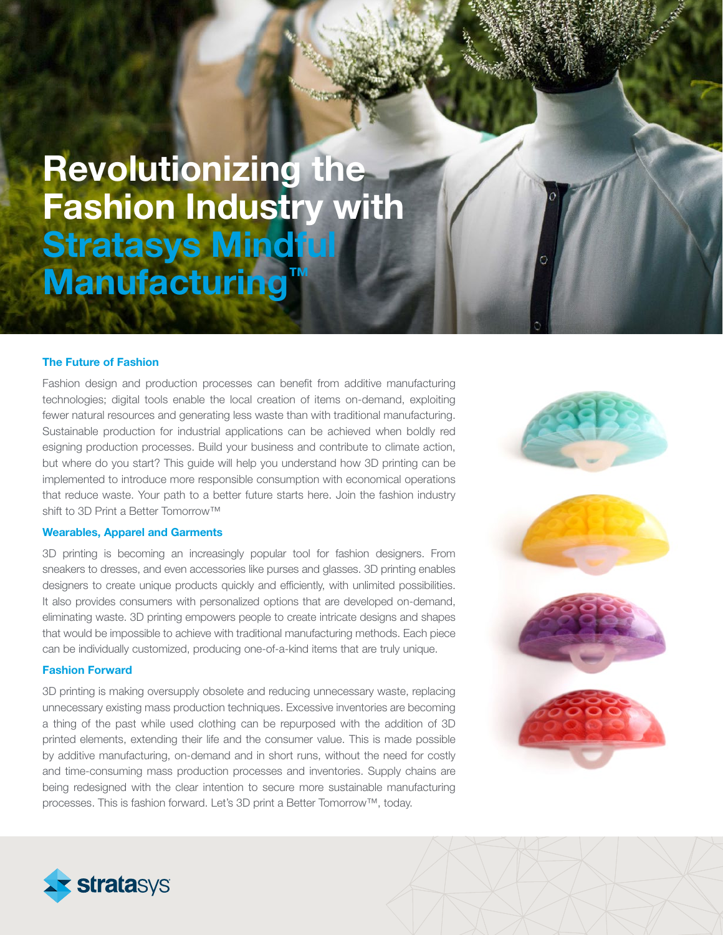# Revolutionizing the Fashion Industry with Stratasys Mindful Manufacturing

# The Future of Fashion

Fashion design and production processes can benefit from additive manufacturing technologies; digital tools enable the local creation of items on-demand, exploiting fewer natural resources and generating less waste than with traditional manufacturing. Sustainable production for industrial applications can be achieved when boldly red esigning production processes. Build your business and contribute to climate action, but where do you start? This guide will help you understand how 3D printing can be implemented to introduce more responsible consumption with economical operations that reduce waste. Your path to a better future starts here. Join the fashion industry shift to 3D Print a Better Tomorrow™

#### Wearables, Apparel and Garments

3D printing is becoming an increasingly popular tool for fashion designers. From sneakers to dresses, and even accessories like purses and glasses. 3D printing enables designers to create unique products quickly and efficiently, with unlimited possibilities. It also provides consumers with personalized options that are developed on-demand, eliminating waste. 3D printing empowers people to create intricate designs and shapes that would be impossible to achieve with traditional manufacturing methods. Each piece can be individually customized, producing one-of-a-kind items that are truly unique.

### Fashion Forward

3D printing is making oversupply obsolete and reducing unnecessary waste, replacing unnecessary existing mass production techniques. Excessive inventories are becoming a thing of the past while used clothing can be repurposed with the addition of 3D printed elements, extending their life and the consumer value. This is made possible by additive manufacturing, on-demand and in short runs, without the need for costly and time-consuming mass production processes and inventories. Supply chains are being redesigned with the clear intention to secure more sustainable manufacturing processes. This is fashion forward. Let's 3D print a Better Tomorrow™, today.